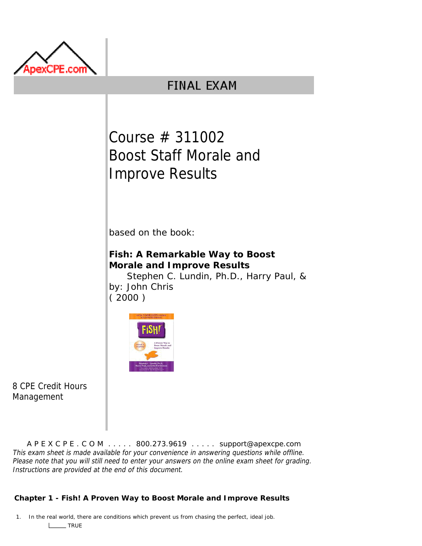

## **FINAL EXAM**

Course # 311002 Boost Staff Morale and Improve Results

based on the book:

**Fish: A Remarkable Way to Boost Morale and Improve Results**

by: John Chris Stephen C. Lundin, Ph.D., Harry Paul, & ( 2000 )



8 CPE Credit Hours Management

A P E X C P E . C O M . . . . . 800.273.9619 . . . . . support@apexcpe.com This exam sheet is made available for your convenience in answering questions while offline. Please note that you will still need to enter your answers on the online exam sheet for grading. Instructions are provided at the end of this document.

## **Chapter 1 - Fish! A Proven Way to Boost Morale and Improve Results**

1. In the real world, there are conditions which prevent us from chasing the perfect, ideal job. L<sub>TRUE</sub>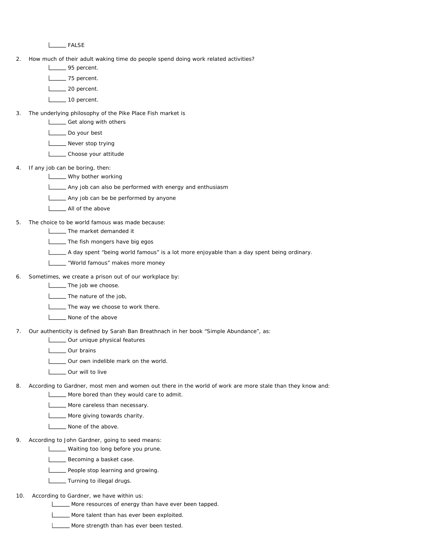L<sub>EALSE</sub>

- 2. How much of their adult waking time do people spend doing work related activities?
	- **Listing** 95 percent.
	- **L\_\_\_\_\_ 75** percent.
	- Letter 20 percent.
	- 10 percent.
- 3. The underlying philosophy of the Pike Place Fish market is
	- Get along with others
	- Do your best
	- Never stop trying
	- L**LChoose** your attitude
- 4. If any job can be boring, then:
	- **LECT** Why bother working
	- Any job can also be performed with energy and enthusiasm
	- Any job can be be performed by anyone
	- **L** All of the above
- 5. The choice to be world famous was made because:
	- **LETTIME:** The market demanded it
	- **LETTIME:** The fish mongers have big egos
	- A day spent "being world famous" is a lot more enjoyable than a day spent being ordinary.
	- **LETT** "World famous" makes more money
- 6. Sometimes, we create a prison out of our workplace by:
	- **LETT** The job we choose.
	- **LETTIA** The nature of the job,
	- **The way we choose to work there.**
	- **None of the above**
- 7. Our authenticity is defined by Sarah Ban Breathnach in her book "Simple Abundance", as:
	- **LETT** Our unique physical features
	- Our brains
	- **LETT** Our own indelible mark on the world.
	- **COUT WILL TO live**  $\mathbf{I}$
- 8. According to Gardner, most men and women out there in the world of work are more stale than they know and:
	- More bored than they would care to admit.
	- **LETTE** More careless than necessary.
	- **LETTE:** More giving towards charity.
	- L<sub>None</sub> of the above.
- 9. According to John Gardner, going to seed means:
	- **LETT** Waiting too long before you prune.
	- Becoming a basket case.
	- **L\_\_\_\_** People stop learning and growing.
	- **Letter** Turning to illegal drugs.
- 10. According to Gardner, we have within us:
	- More resources of energy than have ever been tapped.
	- More talent than has ever been exploited.
	- **LETT** More strength than has ever been tested.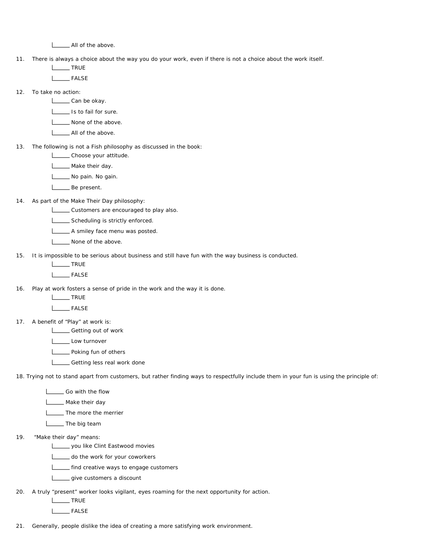All of the above. L

11. There is always a choice about the way you do your work, even if there is not a choice about the work itself.

L<sub>TRUE</sub>

FALSE

12. To take no action:

L\_\_\_\_\_\_ Can be okay.

Is to fail for sure.

None of the above.

- **L** All of the above.
- 13. The following is not a Fish philosophy as discussed in the book:

L**L** Choose your attitude.

Make their day.

No pain. No gain.

L<sub>be</sub> Be present.

14. As part of the Make Their Day philosophy:

Customers are encouraged to play also.

Scheduling is strictly enforced.

A smiley face menu was posted.

None of the above.

15. It is impossible to be serious about business and still have fun with the way business is conducted.

I TRUE

L<sub>EALSE</sub>

- 16. Play at work fosters a sense of pride in the work and the way it is done.
	- **TRUE**

L<sub>D</sub>FALSE

17. A benefit of "Play" at work is:

Lossen Getting out of work

L**Low** turnover

- **LETT** Poking fun of others
- **LETTING** Getting less real work done

18. Trying not to stand apart from customers, but rather finding ways to respectfully include them in your fun is using the principle of:

Go with the flow

Make their day

**LETTIA** The more the merrier

**Letter** The big team

19. "Make their day" means:

you like Clint Eastwood movies

do the work for your coworkers

**LECT** find creative ways to engage customers

give customers a discount  $\mathbf{L}$ 

20. A truly "present" worker looks vigilant, eyes roaming for the next opportunity for action.

L<sub>TRUE</sub>

**Lack FALSE** 

21. Generally, people dislike the idea of creating a more satisfying work environment.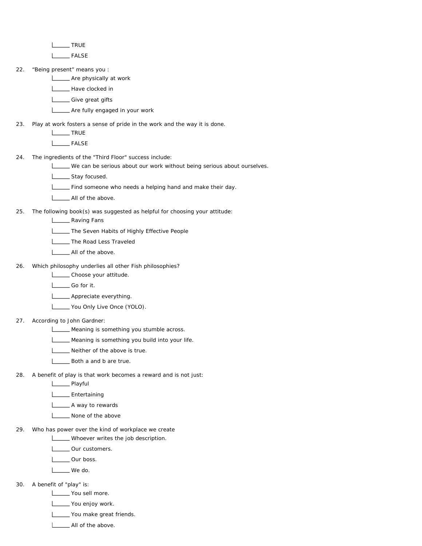**TRUE** 

**Lack FALSE** 

22. "Being present" means you :

**LETT** Are physically at work

**L** Have clocked in

Letter Give great gifts

**LETT** Are fully engaged in your work

23. Play at work fosters a sense of pride in the work and the way it is done.

L<sub>TRUE</sub>

**Lating** FALSE

24. The ingredients of the "Third Floor" success include:

- We can be serious about our work without being serious about ourselves.
- L\_\_\_\_\_\_ Stay focused.
- Find someone who needs a helping hand and make their day.

**LETT** All of the above.

25. The following book(s) was suggested as helpful for choosing your attitude:

**L\_\_\_\_** Raving Fans

**LETTE:** The Seven Habits of Highly Effective People

**LETTIE** The Road Less Traveled

**L** All of the above.

26. Which philosophy underlies all other Fish philosophies?

L**LChoose** your attitude.

L<sub>Go</sub> for it.

**Lackson** Appreciate everything

You Only Live Once (YOLO).

27. According to John Gardner:

**LETTE** Meaning is something you stumble across.

**LETT** Meaning is something you build into your life.

 $\Box$ Neither of the above is true.

**LETT** Both a and b are true.

28. A benefit of play is that work becomes a reward and is not just:

**L\_\_\_\_** Playful

L**L**Entertaining

A way to rewards

None of the above

29. Who has power over the kind of workplace we create

**LETTER** Whoever writes the job description.

L**L** Our customers.

Lour boss.

L<sub>ound</sub> We do.

30. A benefit of "play" is:

**Listing** You sell more.

You enjoy work.

You make great friends.

All of the above.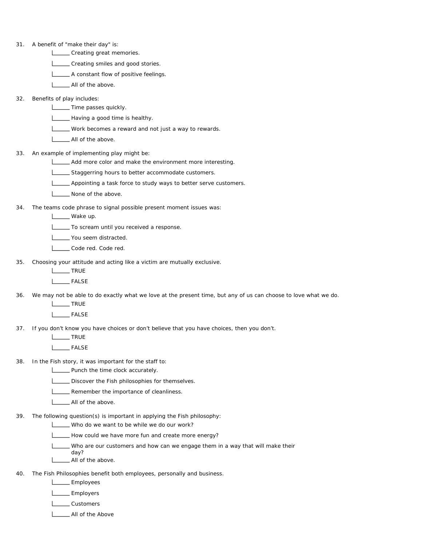| 31. | A benefit of "make their day" is:                                                                               |
|-----|-----------------------------------------------------------------------------------------------------------------|
|     | _____ Creating great memories.                                                                                  |
|     | _____ Creating smiles and good stories.                                                                         |
|     | A constant flow of positive feelings.                                                                           |
|     | All of the above.                                                                                               |
| 32. | Benefits of play includes:                                                                                      |
|     | ______ Time passes quickly.                                                                                     |
|     | - Having a good time is healthy.                                                                                |
|     | ____ Work becomes a reward and not just a way to rewards.                                                       |
|     | All of the above.                                                                                               |
| 33. | An example of implementing play might be:                                                                       |
|     | Add more color and make the environment more interesting.                                                       |
|     | Staggerring hours to better accommodate customers.                                                              |
|     | ____ Appointing a task force to study ways to better serve customers.                                           |
|     | None of the above.                                                                                              |
| 34. | The teams code phrase to signal possible present moment issues was:                                             |
|     | ____ Wake up.                                                                                                   |
|     | To scream until you received a response.                                                                        |
|     | You seem distracted.                                                                                            |
|     | Code red. Code red.                                                                                             |
| 35. | Choosing your attitude and acting like a victim are mutually exclusive.                                         |
|     | TRUE                                                                                                            |
|     | ______ FALSE                                                                                                    |
| 36. | We may not be able to do exactly what we love at the present time, but any of us can choose to love what we do. |
|     | <b>NOCE</b> TRUE                                                                                                |
|     | _____ FALSE                                                                                                     |
| 37. | If you don't know you have choices or don't believe that you have choices, then you don't.                      |
|     | TRUE                                                                                                            |
|     | <b>FALSE</b>                                                                                                    |
| 38. | In the Fish story, it was important for the staff to:                                                           |
|     | _ Punch the time clock accurately.                                                                              |
|     | Discover the Fish philosophies for themselves.                                                                  |
|     | Remember the importance of cleanliness.                                                                         |
|     | _ All of the above.                                                                                             |
| 39. | The following question(s) is important in applying the Fish philosophy:                                         |
|     | Who do we want to be while we do our work?                                                                      |
|     | How could we have more fun and create more energy?                                                              |
|     | Who are our customers and how can we engage them in a way that will make their                                  |
|     | day?<br>All of the above.                                                                                       |
|     |                                                                                                                 |
| 40. | The Fish Philosophies benefit both employees, personally and business.                                          |
|     | Employees                                                                                                       |
|     | Employers                                                                                                       |
|     | Customers                                                                                                       |

**LETT** All of the Above